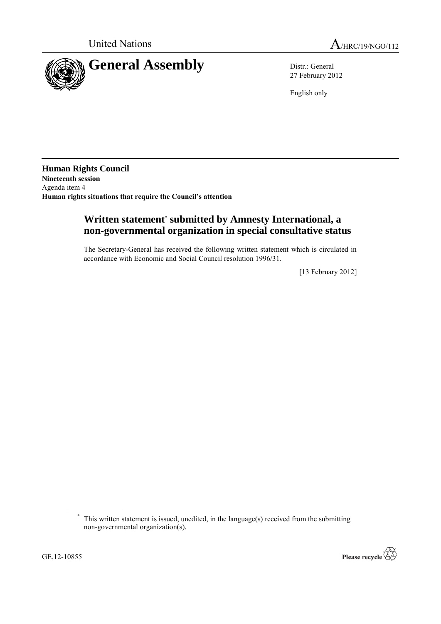

27 February 2012

English only

**Human Rights Council Nineteenth session** Agenda item 4 **Human rights situations that require the Council's attention**

## **Written statement**\* **submitted by Amnesty International, a non-governmental organization in special consultative status**

The Secretary-General has received the following written statement which is circulated in accordance with Economic and Social Council resolution 1996/31.

[13 February 2012]



This written statement is issued, unedited, in the language(s) received from the submitting non-governmental organization(s).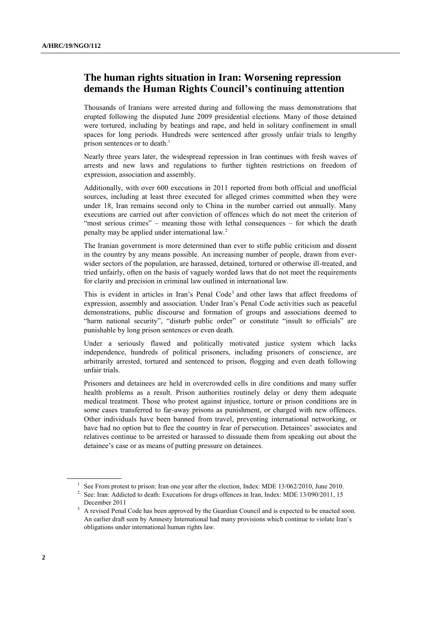## **The human rights situation in Iran: Worsening repression demands the Human Rights Council's continuing attention**

Thousands of Iranians were arrested during and following the mass demonstrations that erupted following the disputed June 2009 presidential elections. Many of those detained were tortured, including by beatings and rape, and held in solitary confinement in small spaces for long periods. Hundreds were sentenced after grossly unfair trials to lengthy prison sentences or to death.<sup>1</sup>

Nearly three years later, the widespread repression in Iran continues with fresh waves of arrests and new laws and regulations to further tighten restrictions on freedom of expression, association and assembly.

Additionally, with over 600 executions in 2011 reported from both official and unofficial sources, including at least three executed for alleged crimes committed when they were under 18, Iran remains second only to China in the number carried out annually. Many executions are carried out after conviction of offences which do not meet the criterion of "most serious crimes" – meaning those with lethal consequences – for which the death penalty may be applied under international law.<sup>2</sup>

The Iranian government is more determined than ever to stifle public criticism and dissent in the country by any means possible. An increasing number of people, drawn from everwider sectors of the population, are harassed, detained, tortured or otherwise ill-treated, and tried unfairly, often on the basis of vaguely worded laws that do not meet the requirements for clarity and precision in criminal law outlined in international law.

This is evident in articles in Iran's Penal Code<sup>3</sup> and other laws that affect freedoms of expression, assembly and association. Under Iran"s Penal Code activities such as peaceful demonstrations, public discourse and formation of groups and associations deemed to "harm national security", "disturb public order" or constitute "insult to officials" are punishable by long prison sentences or even death.

Under a seriously flawed and politically motivated justice system which lacks independence, hundreds of political prisoners, including prisoners of conscience, are arbitrarily arrested, tortured and sentenced to prison, flogging and even death following unfair trials.

Prisoners and detainees are held in overcrowded cells in dire conditions and many suffer health problems as a result. Prison authorities routinely delay or deny them adequate medical treatment. Those who protest against injustice, torture or prison conditions are in some cases transferred to far-away prisons as punishment, or charged with new offences. Other individuals have been banned from travel, preventing international networking, or have had no option but to flee the country in fear of persecution. Detainees' associates and relatives continue to be arrested or harassed to dissuade them from speaking out about the detainee's case or as means of putting pressure on detainees.

<sup>&</sup>lt;sup>1</sup> See From protest to prison: Iran one year after the election, Index: MDE 13/062/2010, June 2010.

<sup>&</sup>lt;sup>2</sup> See: Iran: Addicted to death: Executions for drugs offences in Iran, Index: MDE 13/090/2011, 15 December 2011

<sup>&</sup>lt;sup>3</sup> A revised Penal Code has been approved by the Guardian Council and is expected to be enacted soon. An earlier draft seen by Amnesty International had many provisions which continue to violate Iran"s obligations under international human rights law.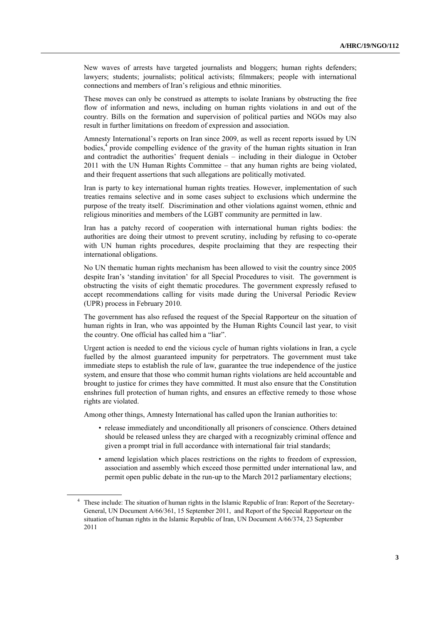New waves of arrests have targeted journalists and bloggers; human rights defenders; lawyers; students; journalists; political activists; filmmakers; people with international connections and members of Iran"s religious and ethnic minorities.

These moves can only be construed as attempts to isolate Iranians by obstructing the free flow of information and news, including on human rights violations in and out of the country. Bills on the formation and supervision of political parties and NGOs may also result in further limitations on freedom of expression and association.

Amnesty International"s reports on Iran since 2009, as well as recent reports issued by UN bodies,<sup>4</sup> provide compelling evidence of the gravity of the human rights situation in Iran and contradict the authorities" frequent denials – including in their dialogue in October 2011 with the UN Human Rights Committee – that any human rights are being violated, and their frequent assertions that such allegations are politically motivated.

Iran is party to key international human rights treaties. However, implementation of such treaties remains selective and in some cases subject to exclusions which undermine the purpose of the treaty itself. Discrimination and other violations against women, ethnic and religious minorities and members of the LGBT community are permitted in law.

Iran has a patchy record of cooperation with international human rights bodies: the authorities are doing their utmost to prevent scrutiny, including by refusing to co-operate with UN human rights procedures, despite proclaiming that they are respecting their international obligations.

No UN thematic human rights mechanism has been allowed to visit the country since 2005 despite Iran"s "standing invitation" for all Special Procedures to visit. The government is obstructing the visits of eight thematic procedures. The government expressly refused to accept recommendations calling for visits made during the Universal Periodic Review (UPR) process in February 2010.

The government has also refused the request of the Special Rapporteur on the situation of human rights in Iran, who was appointed by the Human Rights Council last year, to visit the country. One official has called him a "liar".

Urgent action is needed to end the vicious cycle of human rights violations in Iran, a cycle fuelled by the almost guaranteed impunity for perpetrators. The government must take immediate steps to establish the rule of law, guarantee the true independence of the justice system, and ensure that those who commit human rights violations are held accountable and brought to justice for crimes they have committed. It must also ensure that the Constitution enshrines full protection of human rights, and ensures an effective remedy to those whose rights are violated.

Among other things, Amnesty International has called upon the Iranian authorities to:

- release immediately and unconditionally all prisoners of conscience. Others detained should be released unless they are charged with a recognizably criminal offence and given a prompt trial in full accordance with international fair trial standards;
- amend legislation which places restrictions on the rights to freedom of expression, association and assembly which exceed those permitted under international law, and permit open public debate in the run-up to the March 2012 parliamentary elections;

<sup>&</sup>lt;sup>4</sup> These include: The situation of human rights in the Islamic Republic of Iran: Report of the Secretary-General, UN Document A/66/361, 15 September 2011, and Report of the Special Rapporteur on the situation of human rights in the Islamic Republic of Iran, UN Document A/66/374, 23 September 2011